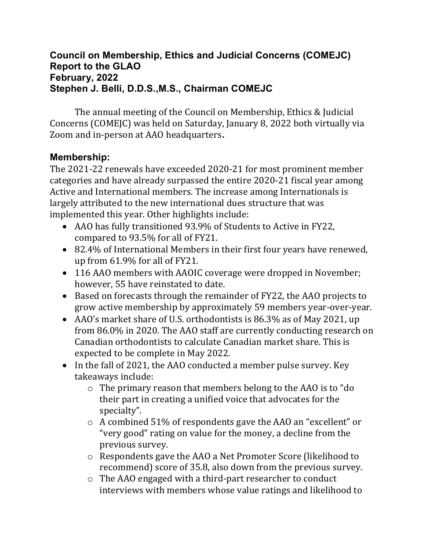#### **Council on Membership, Ethics and Judicial Concerns (COMEJC) Report to the GLAO February, 2022 Stephen J. Belli, D.D.S.,M.S., Chairman COMEJC**

The annual meeting of the Council on Membership, Ethics & Judicial Concerns (COMEJC) was held on Saturday, January 8, 2022 both virtually via Zoom and in-person at AAO headquarters**.**

### **Membership:**

The 2021-22 renewals have exceeded 2020-21 for most prominent member categories and have already surpassed the entire 2020-21 fiscal year among Active and International members. The increase among Internationals is largely attributed to the new international dues structure that was implemented this year. Other highlights include:

- AAO has fully transitioned 93.9% of Students to Active in FY22, compared to 93.5% for all of FY21.
- 82.4% of International Members in their first four years have renewed, up from 61.9% for all of FY21.
- 116 AAO members with AAOIC coverage were dropped in November; however, 55 have reinstated to date.
- Based on forecasts through the remainder of FY22, the AAO projects to grow active membership by approximately 59 members year-over-year.
- AAO's market share of U.S. orthodontists is 86.3% as of May 2021, up from 86.0% in 2020. The AAO staff are currently conducting research on Canadian orthodontists to calculate Canadian market share. This is expected to be complete in May 2022.
- In the fall of 2021, the AAO conducted a member pulse survey. Key takeaways include:
	- o The primary reason that members belong to the AAO is to "do their part in creating a unified voice that advocates for the specialty".
	- o A combined 51% of respondents gave the AAO an "excellent" or "very good" rating on value for the money, a decline from the previous survey.
	- o Respondents gave the AAO a Net Promoter Score (likelihood to recommend) score of 35.8, also down from the previous survey.
	- o The AAO engaged with a third-part researcher to conduct interviews with members whose value ratings and likelihood to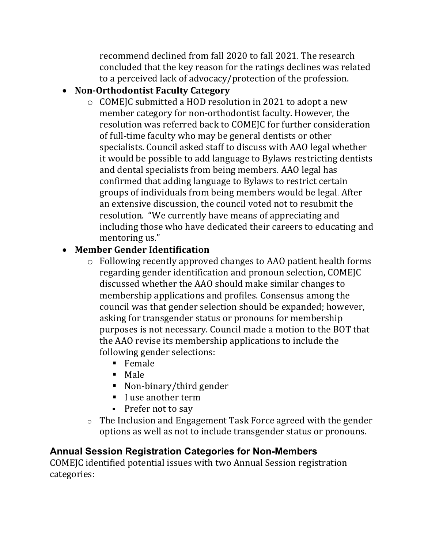recommend declined from fall 2020 to fall 2021. The research concluded that the key reason for the ratings declines was related to a perceived lack of advocacy/protection of the profession.

### • **Non-Orthodontist Faculty Category**

o COMEJC submitted a HOD resolution in 2021 to adopt a new member category for non-orthodontist faculty. However, the resolution was referred back to COMEJC for further consideration of full-time faculty who may be general dentists or other specialists. Council asked staff to discuss with AAO legal whether it would be possible to add language to Bylaws restricting dentists and dental specialists from being members. AAO legal has confirmed that adding language to Bylaws to restrict certain groups of individuals from being members would be legal. After an extensive discussion, the council voted not to resubmit the resolution. "We currently have means of appreciating and including those who have dedicated their careers to educating and mentoring us."

### • **Member Gender Identification**

- o Following recently approved changes to AAO patient health forms regarding gender identification and pronoun selection, COMEJC discussed whether the AAO should make similar changes to membership applications and profiles. Consensus among the council was that gender selection should be expanded; however, asking for transgender status or pronouns for membership purposes is not necessary. Council made a motion to the BOT that the AAO revise its membership applications to include the following gender selections:
	- $\blacksquare$  Female
	- Male
	- Non-binary/third gender
	- I use another term
	- Prefer not to say
- o The Inclusion and Engagement Task Force agreed with the gender options as well as not to include transgender status or pronouns.

# **Annual Session Registration Categories for Non-Members**

COMEJC identified potential issues with two Annual Session registration categories: